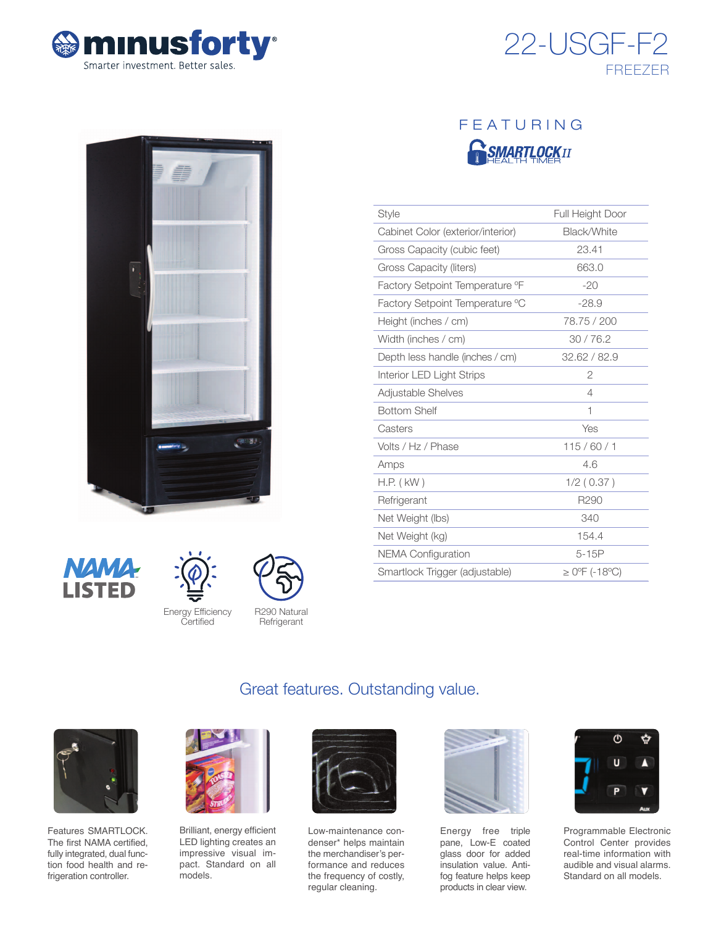







| Style                             | Full Height Door   |
|-----------------------------------|--------------------|
| Cabinet Color (exterior/interior) | Black/White        |
| Gross Capacity (cubic feet)       | 23.41              |
| Gross Capacity (liters)           | 663.0              |
| Factory Setpoint Temperature °F   | $-20$              |
| Factory Setpoint Temperature °C   | $-28.9$            |
| Height (inches / cm)              | 78.75 / 200        |
| Width (inches / cm)               | 30/76.2            |
| Depth less handle (inches / cm)   | 32.62 / 82.9       |
| Interior LED Light Strips         | $\overline{2}$     |
| Adjustable Shelves                | 4                  |
| <b>Bottom Shelf</b>               | 1                  |
| Casters                           | Yes                |
| Volts / Hz / Phase                | 115/60/1           |
| Amps                              | 4.6                |
| $H.P.$ ( $kW$ )                   | 1/2(0.37)          |
| Refrigerant                       | R290               |
| Net Weight (lbs)                  | 340                |
| Net Weight (kg)                   | 154.4              |
| <b>NEMA Configuration</b>         | $5-15P$            |
| Smartlock Trigger (adjustable)    | $\geq$ 0°F (-18°C) |







Energy Efficiency Certified

R290 Natural **Refrigerant** 

# Great features. Outstanding value.



Features SMARTLOCK. The first NAMA certified, fully integrated, dual function food health and refrigeration controller.



Brilliant, energy efficient LED lighting creates an impressive visual impact. Standard on all models.



Low-maintenance condenser\* helps maintain the merchandiser's performance and reduces the frequency of costly, regular cleaning.



Energy free triple pane, Low-E coated glass door for added insulation value. Antifog feature helps keep products in clear view.



Programmable Electronic Control Center provides real-time information with audible and visual alarms. Standard on all models.